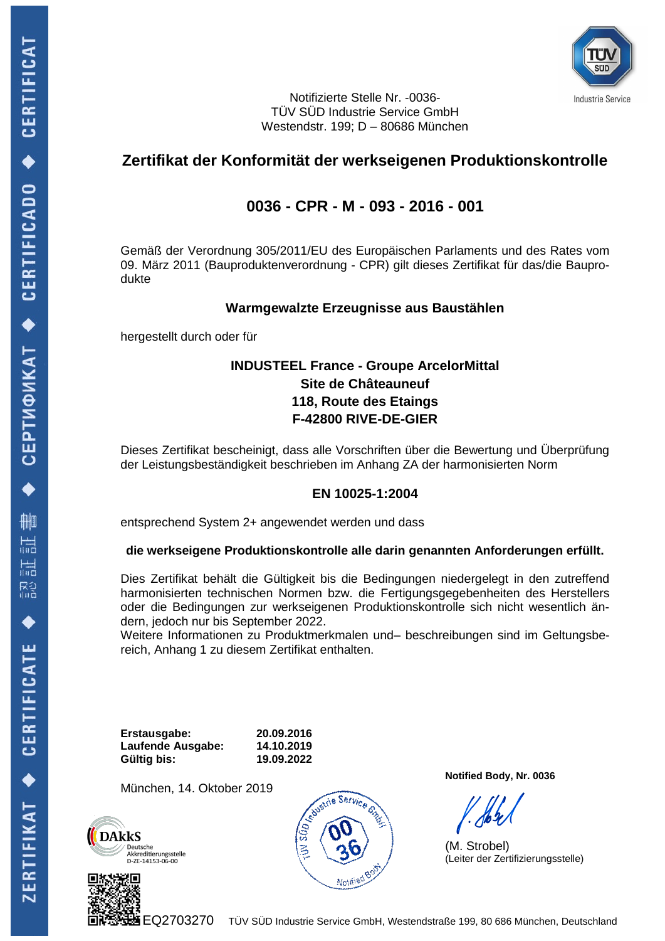

Notifizierte Stelle Nr. -0036- TÜV SÜD Industrie Service GmbH Westendstr. 199; D – 80686 München

# **Zertifikat der Konformität der werkseigenen Produktionskontrolle**

# **0036 - CPR - M - 093 - 2016 - 001**

Gemäß der Verordnung 305/2011/EU des Europäischen Parlaments und des Rates vom 09. März 2011 (Bauproduktenverordnung - CPR) gilt dieses Zertifikat für das/die Bauprodukte

### **Warmgewalzte Erzeugnisse aus Baustählen**

hergestellt durch oder für

### **INDUSTEEL France - Groupe ArcelorMittal Site de Châteauneuf 118, Route des Etaings F-42800 RIVE-DE-GIER**

Dieses Zertifikat bescheinigt, dass alle Vorschriften über die Bewertung und Überprüfung der Leistungsbeständigkeit beschrieben im Anhang ZA der harmonisierten Norm

### **EN 10025-1:2004**

entsprechend System 2+ angewendet werden und dass

#### **die werkseigene Produktionskontrolle alle darin genannten Anforderungen erfüllt.**

Dies Zertifikat behält die Gültigkeit bis die Bedingungen niedergelegt in den zutreffend harmonisierten technischen Normen bzw. die Fertigungsgegebenheiten des Herstellers oder die Bedingungen zur werkseigenen Produktionskontrolle sich nicht wesentlich ändern, jedoch nur bis September 2022.

Weitere Informationen zu Produktmerkmalen und– beschreibungen sind im Geltungsbereich, Anhang 1 zu diesem Zertifikat enthalten.

**Erstausgabe: 20.09.2016 Laufende Ausgabe: 14.10.2019 Gültig bis: 19.09.2022**

München, 14. Oktober 2019







**Notified Body, Nr. 0036**

(M. Strobel) (Leiter der Zertifizierungsstelle)

 $\leftrightarrow$  CERTIFICAT